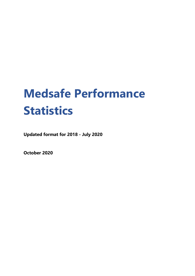# **Medsafe Performance Statistics**

**Updated format for 2018 - July 2020**

**October 2020**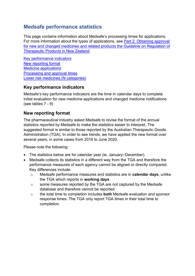# **Medsafe performance statistics**

This page contains information about Medsafe's processing times for applications. For more information about the types of applications, see [Part 2: Obtaining approval](https://www.medsafe.govt.nz/regulatory/Guideline/GRTPNZ/Part2.pdf)  [for new and changed medicines and related products the Guideline on Regulation of](https://www.medsafe.govt.nz/regulatory/Guideline/GRTPNZ/Part2.pdf)  [Therapeutic Products in New Zealand.](https://www.medsafe.govt.nz/regulatory/Guideline/GRTPNZ/Part2.pdf)

[Key performance indicators](#page-1-0) [New reporting format](#page-1-1) [Medicine applications](#page-1-2) [Processing and approval](#page-6-0) times [Lower risk medicines](#page-13-0) (N categories)

# <span id="page-1-0"></span>**Key performance indicators**

Medsafe's key performance indicators are the time in calendar days to complete initial evaluation for new medicine applications and changed medicine notifications (see tables 7 - 9)

## <span id="page-1-1"></span>**New reporting format**

The pharmaceutical industry asked Medsafe to revise the format of the annual statistics reported by Medsafe to make the statistics easier to interpret. The suggested format is similar to those reported by the Australian Therapeutic Goods Administration (TGA). In order to see trends, we have applied the new format over several years, in some cases from 2016 to June 2020.

Please note the following:

- The statistics below are for calendar year (ie, January–December).
- <span id="page-1-2"></span>• Medsafe collects its statistics in a different way from the TGA and therefore the performance measures of each agency cannot be aligned or directly compared. Key differences include:
	- o Medsafe performance measures and statistics are in **calendar days**, unlike the TGA which reports in **working days**
	- o some measures reported by the TGA are not captured by the Medsafe database and therefore cannot be reported
	- o the total time to completion includes **both** Medsafe evaluation and sponsor response times. The TGA only report TGA times in their total time to completion.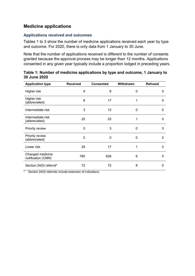# **Medicine applications**

## **Applications received and outcomes**

Tables 1 to 3 show the number of medicine applications received each year by type and outcome. For 2020, there is only data from 1 January to 30 June.

Note that the number of applications received is different to the number of consents granted because the approval process may be longer than 12 months. Applications consented in any given year typically include a proportion lodged in preceding years.

| <b>Application type</b>                | <b>Received</b> | <b>Consented</b> | Withdrawn | <b>Refused</b> |
|----------------------------------------|-----------------|------------------|-----------|----------------|
| Higher risk                            | 9               | 8                | 0         | 0              |
| Higher risk<br>(abbreviated)           | 8               | 17               |           | 0              |
| Intermediate risk                      | 3               | 12               | 0         | 0              |
| Intermediate risk<br>(abbreviated)     | 25              | 25               |           | 0              |
| Priority review                        | 5               | 3                | 0         | 0              |
| Priority review<br>(abbreviated)       | 0               | $\Omega$         | $\Omega$  | 0              |
| Lower risk                             | 29              | 17               |           | $\Omega$       |
| Changed medicine<br>notification (CMN) | 780             | 628              | 6         | 0              |
| Section 24(5) referral*                | 72              | 72               | 8         | 0              |

**Table 1: Number of medicine applications by type and outcome, 1 January to 30 June 2020**

\* Section 24(5) referrals include extension of indications.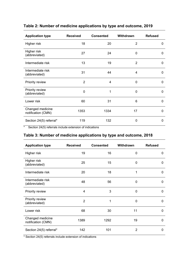| <b>Application type</b>                | <b>Received</b> | <b>Consented</b> | Withdrawn      | <b>Refused</b> |
|----------------------------------------|-----------------|------------------|----------------|----------------|
| Higher risk                            | 18              | 20               | 2              | 0              |
| Higher risk<br>(abbreviated)           | 27              | 24               | 0              | 0              |
| Intermediate risk                      | 13              | 19               | $\overline{2}$ | 0              |
| Intermediate risk<br>(abbreviated)     | 31              | 44               | 4              | $\Omega$       |
| Priority review                        | 2               | 4                | $\mathbf{0}$   | $\Omega$       |
| Priority review<br>(abbreviated)       | 0               | 1                | $\mathbf 0$    | $\Omega$       |
| Lower risk                             | 60              | 31               | 6              | 0              |
| Changed medicine<br>notification (CMN) | 1353            | 1334             | 17             | $\Omega$       |
| Section 24(5) referral*                | 119             | 132              | 0              | 0              |

# **Table 2: Number of medicine applications by type and outcome, 2019**

\* Section 24(5) referrals include extension of indications

## **Table 3: Number of medicine applications by type and outcome, 2018**

| <b>Application type</b>                | <b>Received</b> | <b>Consented</b> | Withdrawn      | <b>Refused</b> |
|----------------------------------------|-----------------|------------------|----------------|----------------|
| Higher risk                            | 19              | 16               | 0              | 0              |
| Higher risk<br>(abbreviated)           | 25              | 15               | 0              | 0              |
| Intermediate risk                      | 20              | 18               | 1              | $\Omega$       |
| Intermediate risk<br>(abbreviated)     | 48              | 56               | $\mathbf{0}$   | 0              |
| Priority review                        | 4               | 3                | 0              | 0              |
| Priority review<br>(abbreviated)       | $\overline{2}$  | 1                | 0              | 0              |
| Lower risk                             | 68              | 30               | 11             | 0              |
| Changed medicine<br>notification (CMN) | 1389            | 1292             | 19             | 0              |
| Section 24(5) referral*                | 142             | 101              | $\overline{2}$ | 0              |

\* Section 24(5) referrals include extension of indications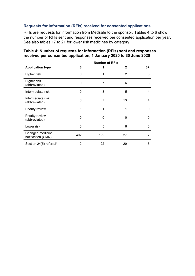## **Requests for information (RFIs) received for consented applications**

RFIs are requests for information from Medsafe to the sponsor. Tables 4 to 6 show the number of RFIs sent and responses received per consented application per year. See also tables 17 to 21 for lower risk medicines by category.

|                                        |     |          | <b>Number of RFIs</b> |      |
|----------------------------------------|-----|----------|-----------------------|------|
| <b>Application type</b>                | 0   | 1        | 2                     | $3+$ |
| Higher risk                            | 0   |          | $\overline{2}$        | 5    |
| Higher risk<br>(abbreviated)           | 0   | 7        | 6                     | 3    |
| Intermediate risk                      | 0   | 3        | 5                     | 4    |
| Intermediate risk<br>(abbreviated)     | 0   | 7        | 13                    | 4    |
| Priority review                        | 1   | 1        |                       | 0    |
| Priority review<br>(abbreviated)       | 0   | $\Omega$ | 0                     | 0    |
| Lower risk                             | 0   | 5        | 6                     | 3    |
| Changed medicine<br>notification (CMN) | 402 | 192      | 27                    |      |
| Section 24(5) referral*                | 12  | 22       | 20                    | 6    |

## **Table 4: Number of requests for information (RFIs) sent and responses received per consented application, 1 January 2020 to 30 June 2020**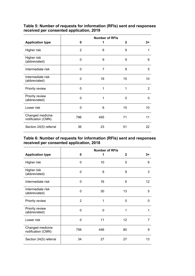| Table 5: Number of requests for information (RFIs) sent and responses |
|-----------------------------------------------------------------------|
| received per consented application, 2019                              |

|                                        |              |                | <b>Number of RFIs</b> |          |
|----------------------------------------|--------------|----------------|-----------------------|----------|
| <b>Application type</b>                | 0            | 1              | $\mathbf{2}$          | $3+$     |
| Higher risk                            | 2            | 6              | 9                     |          |
| Higher risk<br>(abbreviated)           | $\Omega$     | 9              | 9                     | 6        |
| Intermediate risk                      | $\Omega$     | $\overline{7}$ | 9                     | 5        |
| Intermediate risk<br>(abbreviated)     | 0            | 19             | 15                    | 10       |
| Priority review                        | 0            | 1              | 1                     | 2        |
| Priority review<br>(abbreviated)       | $\Omega$     | 1              | $\Omega$              | $\Omega$ |
| Lower risk                             | $\mathbf{0}$ | 6              | 15                    | 10       |
| Changed medicine<br>notification (CMN) | 796          | 455            | 71                    | 11       |
| Section 24(5) referral                 | 36           | 23             | 51                    | 22       |

#### **Table 6: Number of requests for information (RFIs) sent and responses received per consented application, 2018**

|                                        |     |     | <b>Number of RFIs</b> |      |
|----------------------------------------|-----|-----|-----------------------|------|
| <b>Application type</b>                | 0   | 1   | $\mathbf{2}$          | $3+$ |
| Higher risk                            | 0   | 10  | 5                     | 6    |
| Higher risk<br>(abbreviated)           | 0   | 6   | 9                     | 3    |
| Intermediate risk                      | 0   | 16  | 6                     | 12   |
| Intermediate risk<br>(abbreviated)     | 0   | 30  | 13                    | 5    |
| Priority review                        | 2   | 1   | $\mathbf{0}$          | 0    |
| Priority review<br>(abbreviated)       | 0   | 0   | 1                     | 1    |
| Lower risk                             | 0   | 11  | 12                    | 7    |
| Changed medicine<br>notification (CMN) | 756 | 446 | 80                    | 9    |
| Section 24(5) referral                 | 34  | 27  | 27                    | 13   |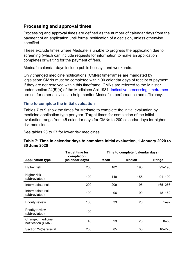# <span id="page-6-0"></span>**Processing and approval times**

Processing and approval times are defined as the number of calendar days from the payment of an application until formal notification of a decision, unless otherwise specified.

These exclude times where Medsafe is unable to progress the application due to screening (which can include requests for information to make an application complete) or waiting for the payment of fees.

Medsafe calendar days include public holidays and weekends.

Only changed medicine notifications (CMNs) timeframes are mandated by legislation: CMNs must be completed within 90 calendar days of receipt of payment. If they are not resolved within this timeframe, CMNs are referred to the Minister under section 24(5)(b) of the Medicines Act 1981. [Indicative processing timeframes](https://www.medsafe.govt.nz/regulatory/EvaluationTimeframesAndRegistrationSituation.asp) are set for other activities to help monitor Medsafe's performance and efficiency.

## **Time to complete the initial evaluation**

Tables 7 to 9 show the times for Medsafe to complete the initial evaluation by medicine application type per year. Target times for completion of the initial evaluation range from 45 calendar days for CMNs to 200 calendar days for higher risk medicines.

See tables 23 to 27 for lower risk medicines.

#### **Table 7: Time in calendar days to complete initial evaluation, 1 January 2020 to 30 June 2020**

|                                        | <b>Target time for</b><br>completion |      | Time to complete (calendar days) |            |
|----------------------------------------|--------------------------------------|------|----------------------------------|------------|
| <b>Application type</b>                | (calendar days)                      | Mean | <b>Median</b>                    | Range      |
| Higher risk                            | 200                                  | 182  | 195                              | $92 - 198$ |
| Higher risk<br>(abbreviated)           | 100                                  | 149  | 155                              | $91 - 199$ |
| Intermediate risk                      | 200                                  | 209  | 195                              | 165-266    |
| Intermediate risk<br>(abbreviated)     | 100                                  | 96   | 90                               | 48-162     |
| Priority review                        | 100                                  | 33   | 20                               | $1 - 92$   |
| Priority review<br>(abbreviated)       | 100                                  |      |                                  |            |
| Changed medicine<br>notification (CMN) | 45                                   | 23   | 23                               | $0 - 56$   |
| Section 24(5) referral                 | 200                                  | 85   | 35                               | $10 - 270$ |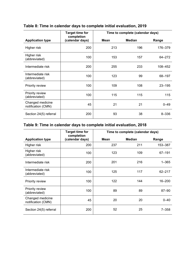|                                        | <b>Target time for</b>        |      | Time to complete (calendar days) |            |
|----------------------------------------|-------------------------------|------|----------------------------------|------------|
| <b>Application type</b>                | completion<br>(calendar days) | Mean | <b>Median</b>                    | Range      |
| Higher risk                            | 200                           | 213  | 196                              | 176-379    |
| Higher risk<br>(abbreviated)           | 100                           | 153  | 157                              | 64-272     |
| Intermediate risk                      | 200                           | 255  | 233                              | 108-452    |
| Intermediate risk<br>(abbreviated)     | 100                           | 123  | 99                               | 68-197     |
| Priority review                        | 100                           | 109  | 108                              | $23 - 195$ |
| Priority review<br>(abbreviated)       | 100                           | 115  | 115                              | 115        |
| Changed medicine<br>notification (CMN) | 45                            | 21   | 21                               | $0 - 49$   |
| Section 24(5) referral                 | 200                           | 93   | 38                               | $8 - 336$  |

# **Table 8: Time in calendar days to complete initial evaluation, 2019**

# **Table 9: Time in calendar days to complete initial evaluation, 2018**

|                                        | <b>Target time for</b><br>completion |      | Time to complete (calendar days) |            |
|----------------------------------------|--------------------------------------|------|----------------------------------|------------|
| <b>Application type</b>                | (calendar days)                      | Mean | <b>Median</b>                    | Range      |
| Higher risk                            | 200                                  | 237  | 211                              | 153-387    |
| Higher risk<br>(abbreviated)           | 100                                  | 123  | 109                              | 67-191     |
| Intermediate risk                      | 200                                  | 201  | 216                              | $1 - 365$  |
| Intermediate risk<br>(abbreviated)     | 100                                  | 125  | 117                              | $62 - 217$ |
| Priority review                        | 100                                  | 122  | 144                              | 16-200     |
| Priority review<br>(abbreviated)       | 100                                  | 89   | 89                               | $87 - 90$  |
| Changed medicine<br>notification (CMN) | 45                                   | 20   | 20                               | $0 - 40$   |
| Section 24(5) referral                 | 200                                  | 52   | 25                               | $7 - 358$  |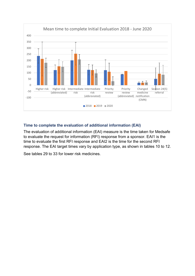

## **Time to complete the evaluation of additional information (EAI)**

The evaluation of additional information (EAI) measure is the time taken for Medsafe to evaluate the request for information (RFI) response from a sponsor. EAI1 is the time to evaluate the first RFI response and EAI2 is the time for the second RFI response. The EAI target times vary by application type, as shown in tables 10 to 12.

See tables 29 to 33 for lower risk medicines.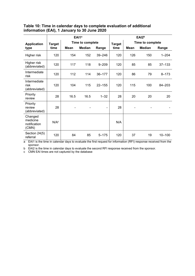## **Table 10: Time in calendar days to complete evaluation of additional information (EAI), 1 January to 30 June 2020**

|                                              |                  |             | EAI1 <sup>a</sup> |            |               |      | EAI2 <sup>b</sup> |            |
|----------------------------------------------|------------------|-------------|-------------------|------------|---------------|------|-------------------|------------|
| <b>Application</b>                           | <b>Target</b>    |             | Time to complete  |            | <b>Target</b> |      | Time to complete  |            |
| type                                         | time             | <b>Mean</b> | <b>Median</b>     | Range      | time          | Mean | <b>Median</b>     | Range      |
| Higher risk                                  | 120              | 154         | 152               | 39-246     | 120           | 126  | 150               | $1 - 204$  |
| Higher risk<br>(abbreviated)                 | 120              | 117         | 118               | $9 - 209$  | 120           | 85   | 85                | $37 - 133$ |
| Intermediate<br>risk                         | 120              | 112         | 114               | $36 - 177$ | 120           | 86   | 79                | $8 - 173$  |
| Intermediate<br>risk<br>(abbreviated)        | 120              | 104         | 115               | $22 - 155$ | 120           | 115  | 100               | 84-203     |
| Priority<br>review                           | 28               | 16.5        | 16.5              | $1 - 32$   | 28            | 20   | 20                | 20         |
| Priority<br>review<br>(abbreviated)          | 28               |             |                   | ۰          | 28            |      |                   |            |
| Changed<br>medicine<br>notification<br>(CMN) | N/A <sup>c</sup> |             |                   |            | N/A           |      |                   |            |
| Section 24(5)<br>referral                    | 120              | 84          | 85                | $5 - 175$  | 120           | 37   | 19                | $10 - 100$ |

a EAI1 is the time in calendar days to evaluate the first request for information (RFI) response received from the sponsor.

b EAI2 is the time in calendar days to evaluate the second RFI response received from the sponsor.

c CMN EAI times are not captured by the database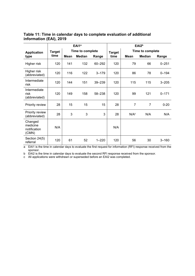|                         | Table 11: Time in calendar days to complete evaluation of additional |
|-------------------------|----------------------------------------------------------------------|
| information (EAI), 2019 |                                                                      |

|                                              |               | EAI1 <sup>a</sup> |                  |           | EAI <sub>2b</sub> |                  |               |           |  |
|----------------------------------------------|---------------|-------------------|------------------|-----------|-------------------|------------------|---------------|-----------|--|
| <b>Application</b>                           | <b>Target</b> |                   | Time to complete |           | <b>Target</b>     | Time to complete |               |           |  |
| type                                         | time          | Mean              | <b>Median</b>    | Range     | time              | <b>Mean</b>      | <b>Median</b> | Range     |  |
| Higher risk                                  | 120           | 141               | 132              | 60-292    | 120               | 79               | 66            | $0 - 251$ |  |
| Higher risk<br>(abbreviated)                 | 120           | 116               | 122              | $3 - 179$ | 120               | 86               | 78            | $0 - 194$ |  |
| Intermediate<br>risk                         | 120           | 144               | 151              | 39-239    | 120               | 115              | 115           | $3 - 205$ |  |
| Intermediate<br>risk<br>(abbreviated)        | 120           | 149               | 158              | 58-238    | 120               | 99               | 121           | $0 - 171$ |  |
| Priority review                              | 28            | 15                | 15               | 15        | 28                | 7                | 7             | $0 - 20$  |  |
| Priority review<br>(abbreviated)             | 28            | 3                 | 3                | 3         | 28                | N/A <sup>c</sup> | N/A           | N/A       |  |
| Changed<br>medicine<br>notification<br>(CMN) | N/A           |                   |                  |           | N/A               |                  |               |           |  |
| Section 24(5)<br>referral                    | 120           | 61                | 52               | $1 - 220$ | 120               | 56               | 30            | $3 - 160$ |  |

a EAI1 is the time in calendar days to evaluate the first request for information (RFI) response received from the sponsor.

b EAI2 is the time in calendar days to evaluate the second RFI response received from the sponsor.

c All applications were withdrawn or superseded before an EAI2 was completed.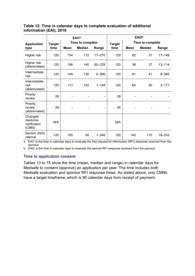## **Table 12: Time in calendar days to complete evaluation of additional information (EAI), 2018**

|                                              |               | EAI1 <sup>a</sup> |               |            |               | EAI <sub>2b</sub> |               |            |
|----------------------------------------------|---------------|-------------------|---------------|------------|---------------|-------------------|---------------|------------|
| <b>Application</b>                           | <b>Target</b> | Time to complete  |               |            | <b>Target</b> | Time to complete  |               |            |
| type                                         | time          | <b>Mean</b>       | <b>Median</b> | Range      | time          | <b>Mean</b>       | <b>Median</b> | Range      |
| Higher risk                                  | 120           | 154               | 172           | $17 - 270$ | 120           | 62                | 51            | $17 - 149$ |
| Higher risk<br>(abbreviated)                 | 120           | 156               | 140           | 80-229     | 120           | 38                | 27            | $13 - 114$ |
| Intermediate<br>risk                         | 120           | 149               | 130           | $0 - 366$  | 120           | 81                | 41            | $9 - 365$  |
| Intermediate<br>risk<br>(abbreviated)        | 120           | 113               | 120           | $1 - 148$  | 120           | 64                | 50            | $3 - 177$  |
| Priority<br>review                           | 28            |                   |               | ۰          | 28            |                   |               |            |
| Priority<br>review<br>(abbreviated)          | 28            |                   |               | -          | 28            |                   |               |            |
| Changed<br>medicine<br>notification<br>(CMN) | N/A           |                   |               |            | N/A           |                   |               |            |
| Section 24(5)<br>referral                    | 120           | 100               | 94            | $1 - 346$  | 120           | 143               | 110           | 18-253     |

a EAI1 is the time in calendar days to evaluate the first request for information (RFI) response received from the sponsor.

b EAI2 is the time in calendar days to evaluate the second RFI response received from the sponsor.

## **Time to application consent**

Tables 13 to 15 show the time (mean, median and range) in calendar days for Medsafe to consent (approve) an application per year. The time includes both Medsafe evaluation and sponsor RFI response times. As stated above, only CMNs have a target timeframe, which is 90 calendar days from receipt of payment.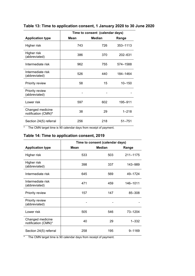|                                         | Time to consent (calendar days) |               |            |  |  |
|-----------------------------------------|---------------------------------|---------------|------------|--|--|
| <b>Application type</b>                 | <b>Mean</b>                     | <b>Median</b> | Range      |  |  |
| Higher risk                             | 743                             | 726           | 353-1113   |  |  |
| Higher risk<br>(abbreviated)            | 386                             | 370           | 202-631    |  |  |
| Intermediate risk                       | 962                             | 755           | 574-1588   |  |  |
| Intermediate risk<br>(abbreviated)      | 526                             | 440           | 184-1464   |  |  |
| Priority review                         | 58                              | 15            | $10 - 150$ |  |  |
| Priority review<br>(abbreviated)        |                                 |               |            |  |  |
| Lower risk                              | 597                             | 602           | 195-911    |  |  |
| Changed medicine<br>notification (CMN)* | 38                              | 29            | $1 - 218$  |  |  |
| Section 24(5) referral                  | 256                             | 218           | $51 - 751$ |  |  |

# **Table 13: Time to application consent, 1 January 2020 to 30 June 2020**

\* The CMN target time is 90 calendar days from receipt of payment.

## **Table 14: Time to application consent, 2019**

|                                         | Time to consent (calendar days) |               |           |  |  |
|-----------------------------------------|---------------------------------|---------------|-----------|--|--|
| <b>Application type</b>                 | Mean                            | <b>Median</b> | Range     |  |  |
| Higher risk                             | 533                             | 503           | 211-1175  |  |  |
| Higher risk<br>(abbreviated)            | 398                             | 337           | 143-989   |  |  |
| Intermediate risk                       | 645                             | 569           | 49-1724   |  |  |
| Intermediate risk<br>(abbreviated)      | 471                             | 459           | 146-1011  |  |  |
| Priority review                         | 157                             | 147           | 85-308    |  |  |
| Priority review<br>(abbreviated)        |                                 |               |           |  |  |
| Lower risk                              | 505                             | 546           | 73-1204   |  |  |
| Changed medicine<br>notification (CMN)* | 40                              | 29            | $1 - 332$ |  |  |
| Section 24(5) referral                  | 258                             | 195           | 9-1169    |  |  |

\* The CMN target time is 90 calendar days from receipt of payment.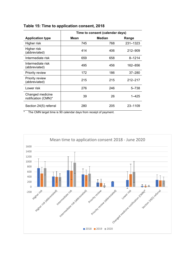|                                         | Time to consent (calendar days) |               |             |  |  |
|-----------------------------------------|---------------------------------|---------------|-------------|--|--|
| <b>Application type</b>                 | Mean                            | <b>Median</b> | Range       |  |  |
| Higher risk                             | 745                             | 768           | 231-1323    |  |  |
| Higher risk<br>(abbreviated)            | 414                             | 406           | 212-909     |  |  |
| Intermediate risk                       | 659                             | 658           | $8 - 1214$  |  |  |
| Intermediate risk<br>(abbreviated)      | 495                             | 456           | 162-856     |  |  |
| Priority review                         | 172                             | 186           | $37 - 280$  |  |  |
| Priority review<br>(abbreviated)        | 215                             | 215           | $212 - 217$ |  |  |
| Lower risk                              | 276                             | 246           | $5 - 738$   |  |  |
| Changed medicine<br>notification (CMN)* | 39                              | 26            | $1 - 425$   |  |  |
| Section 24(5) referral                  | 280                             | 205           | 23-1109     |  |  |

## **Table 15: Time to application consent, 2018**

\* The CMN target time is 90 calendar days from receipt of payment.

<span id="page-13-0"></span>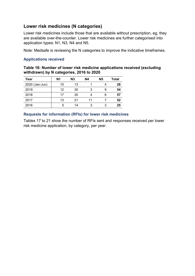# **Lower risk medicines (N categories)**

Lower risk medicines include those that are available without prescription, eg, they are available over-the-counter. Lower risk medicines are further categorised into application types: N1, N3, N4 and N5.

Note: Medsafe is reviewing the N categories to improve the indicative timeframes.

## **Applications received**

**Table 16: Number of lower risk medicine applications received (excluding withdrawn) by N categories, 2016 to 2020**

| Year           | N <sub>1</sub> | N3 | <b>N4</b> | <b>N5</b> | Total |
|----------------|----------------|----|-----------|-----------|-------|
| 2020 (Jan-Jun) | 10             | 13 |           |           | 28    |
| 2019           | 12             | 30 | 3         | 9         | 54    |
| 2018           | 17             | 30 |           | 6         | 57    |
| 2017           | 13             | 21 |           |           | 52    |
| 2016           | 5              | 14 | 3         |           | 25    |

## **Requests for information (RFIs) for lower risk medicines**

Tables 17 to 21 show the number of RFIs sent and responses received per lower risk medicine application, by category, per year.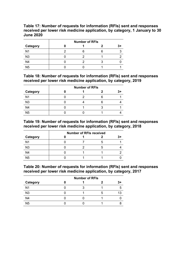**Table 17: Number of requests for information (RFIs) sent and responses received per lower risk medicine application, by category, 1 January to 30 June 2020**

|                | <b>Number of RFIs</b> |  |  |  |  |
|----------------|-----------------------|--|--|--|--|
| Category       |                       |  |  |  |  |
| N <sub>1</sub> |                       |  |  |  |  |
| N <sub>3</sub> |                       |  |  |  |  |
| N <sub>4</sub> |                       |  |  |  |  |
| N <sub>5</sub> |                       |  |  |  |  |

#### **Table 18: Number of requests for information (RFIs) sent and responses received per lower risk medicine application, by category, 2019**

|                 | <b>Number of RFIs</b> |  |  |  |  |  |
|-----------------|-----------------------|--|--|--|--|--|
| <b>Category</b> |                       |  |  |  |  |  |
| N <sub>1</sub>  |                       |  |  |  |  |  |
| N <sub>3</sub>  |                       |  |  |  |  |  |
| N <sub>4</sub>  |                       |  |  |  |  |  |
| N <sub>5</sub>  |                       |  |  |  |  |  |

#### **Table 19: Number of requests for information (RFIs) sent and responses received per lower risk medicine application, by category, 2018**

|                 | <b>Number of RFIs received</b> |  |  |  |  |
|-----------------|--------------------------------|--|--|--|--|
| <b>Category</b> |                                |  |  |  |  |
| N <sub>1</sub>  |                                |  |  |  |  |
| N <sub>3</sub>  |                                |  |  |  |  |
| N <sub>4</sub>  |                                |  |  |  |  |
| N <sub>5</sub>  |                                |  |  |  |  |

**Table 20: Number of requests for information (RFIs) sent and responses received per lower risk medicine application, by category, 2017**

|                | <b>Number of RFIs</b> |  |  |      |  |
|----------------|-----------------------|--|--|------|--|
| Category       |                       |  |  | $3+$ |  |
| N <sub>1</sub> |                       |  |  |      |  |
| N <sub>3</sub> |                       |  |  |      |  |
| N <sub>4</sub> |                       |  |  |      |  |
| N <sub>5</sub> |                       |  |  |      |  |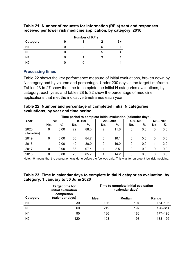|                | <b>Number of RFIs</b> |  |  |  |  |
|----------------|-----------------------|--|--|--|--|
| Category       |                       |  |  |  |  |
| N <sub>1</sub> |                       |  |  |  |  |
| N <sub>3</sub> |                       |  |  |  |  |
| N4             |                       |  |  |  |  |
| N <sub>5</sub> |                       |  |  |  |  |

## **Table 21: Number of requests for information (RFIs) sent and responses received per lower risk medicine application, by category, 2016**

## **Processing times**

Table 22 shows the key performance measure of initial evaluations, broken down by N category and by volume and percentage. Under 200 days is the target timeframe. Tables 23 to 27 show the time to complete the initial N categories evaluations, by category, each year, and tables 28 to 32 show the percentage of medicine applications that met the indicative timeframes each year.

## **Table 22: Number and percentage of completed initial N categories evaluations, by year and time period**

|                   | Time period to complete initial evaluation (calendar days) |      |     |           |         |      |         |      |         |     |
|-------------------|------------------------------------------------------------|------|-----|-----------|---------|------|---------|------|---------|-----|
| Year              |                                                            | <0   |     | $0 - 199$ | 200-399 |      | 400-599 |      | 600-799 |     |
|                   | No.                                                        | $\%$ | No. | %         | No.     | %    | No.     | $\%$ | No.     | %   |
| 2020<br>(Jan-Jun) | 0                                                          | 0.00 | 22  | 88.3      | 2       | 11.6 | 0       | 0.0  | 0       | 0.0 |
| 2019              | 0                                                          | 0.00 | 50  | 84.7      | 6       | 10.1 | 3       | 5.0  | 0       | 0.0 |
| 2018              |                                                            | 2.00 | 40  | 80.0      | 9       | 16.0 | 0       | 0.0  |         | 2.0 |
| 2017              | 0                                                          | 0.00 | 38  | 97.4      |         | 2.5  | 0       | 0.0  | 0       | 0.0 |
| 2016              | 0                                                          | 0.00 | 23  | 85.7      | 4       | 14.2 | 0       | 0.0  | 0       | 0.0 |

Note: <0 means that the evaluation was done before the fee was paid. This was for an urgent low risk medicine.

|                                     | Table 23: Time in calendar days to complete initial N categories evaluation, by |  |  |
|-------------------------------------|---------------------------------------------------------------------------------|--|--|
| category, 1 January to 30 June 2020 |                                                                                 |  |  |

|                | <b>Target time for</b><br>initial evaluation<br>completion | Time to complete initial evaluation<br>(calendar days) |        |         |  |
|----------------|------------------------------------------------------------|--------------------------------------------------------|--------|---------|--|
| Category       | (calendar days)                                            | Mean                                                   | Median | Range   |  |
| N <sub>1</sub> | 30                                                         | 186                                                    | 194    | 164-196 |  |
| N3             | 60                                                         | 219                                                    | 197    | 196-314 |  |
| N <sub>4</sub> | 90                                                         | 186                                                    | 186    | 177-196 |  |
| <b>N5</b>      | 120                                                        | 193                                                    | 193    | 188-196 |  |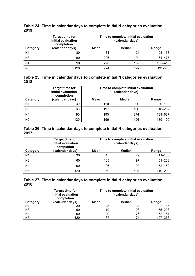#### **Table 24: Time in calendar days to complete initial N categories evaluation, 2019**

|                | <b>Target time for</b><br>initial evaluation<br>completion | Time to complete initial evaluation<br>(calendar days) |               |            |  |  |
|----------------|------------------------------------------------------------|--------------------------------------------------------|---------------|------------|--|--|
| Category       | (calendar days)                                            | Mean                                                   | <b>Median</b> | Range      |  |  |
| N <sub>1</sub> | 30                                                         | 131                                                    | 121           | $93 - 168$ |  |  |
| N <sub>3</sub> | 60                                                         | 206                                                    | 194           | 61-477     |  |  |
| N <sub>4</sub> | 90                                                         | 226                                                    | 189           | 185-413    |  |  |
| N <sub>5</sub> | 120                                                        | 224                                                    | 197           | 191-380    |  |  |

| Table 25: Time in calendar days to complete initial N categories evaluation, |  |
|------------------------------------------------------------------------------|--|
| 2018                                                                         |  |

|                | <b>Target time for</b><br>initial evaluation<br>completion | Time to complete initial evaluation<br>(calendar days) |       |            |
|----------------|------------------------------------------------------------|--------------------------------------------------------|-------|------------|
| Category       | (calendar days)                                            | <b>Mean</b>                                            | Range |            |
| N <sub>1</sub> | 30                                                         | 110                                                    | 90    | $0 - 168$  |
| N <sub>3</sub> | 60                                                         | 197                                                    | 186   | $16 - 202$ |
| N <sub>4</sub> | 90                                                         | 193                                                    | 274   | 139-637    |
| N <sub>5</sub> | 120                                                        | 196                                                    | 196   | 189-199    |

| Table 26: Time in calendar days to complete initial N categories evaluation, |  |  |
|------------------------------------------------------------------------------|--|--|
| 2017                                                                         |  |  |

|                | <b>Target time for</b><br>initial evaluation<br>completion | Time to complete initial evaluation<br>(calendar days) |               |            |  |  |
|----------------|------------------------------------------------------------|--------------------------------------------------------|---------------|------------|--|--|
| Category       | (calendar days)                                            | Mean                                                   | <b>Median</b> | Range      |  |  |
| N <sub>1</sub> | 30                                                         | 45                                                     | 29            | $11 - 156$ |  |  |
| N <sub>3</sub> | 60                                                         | 105                                                    | 97            | $51 - 208$ |  |  |
| N <sub>4</sub> | 90                                                         | 106                                                    | 99            | $72 - 162$ |  |  |
| <b>N5</b>      | 120                                                        | 159                                                    | 191           | 119-200    |  |  |

**Table 27: Time in calendar days to complete initial N categories evaluation, 2016**

|                | <b>Target time for</b><br>initial evaluation<br>completion | Time to complete initial evaluation<br>(calendar days) |        |             |  |
|----------------|------------------------------------------------------------|--------------------------------------------------------|--------|-------------|--|
| Category       | (calendar days)                                            | Mean                                                   | Median | Range       |  |
| N <sub>1</sub> | 30                                                         | 45                                                     | 34     | $27 - 85$   |  |
| N3             | 60                                                         | 119                                                    | 103    | $55 - 208$  |  |
| N <sub>4</sub> | 90                                                         | 99                                                     | 76     | $52 - 161$  |  |
| N <sub>5</sub> | 120                                                        | 167                                                    |        | $107 - 256$ |  |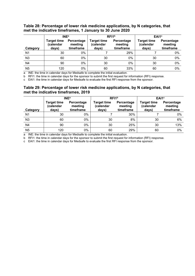#### **Table 28: Percentage of lower risk medicine applications, by N categories, that met the indicative timeframes, 1 January to 30 June 2020**

|                | <b>INE</b> <sup>a</sup>                  |                                    |                                   | RFI <sup>1b</sup>                  | EAI <sub>1</sub> c                       |                                    |
|----------------|------------------------------------------|------------------------------------|-----------------------------------|------------------------------------|------------------------------------------|------------------------------------|
| Category       | <b>Target time</b><br>(calendar<br>days) | Percentage<br>meeting<br>timeframe | Target time<br>(calendar<br>days) | Percentage<br>meeting<br>timeframe | <b>Target time</b><br>(calendar<br>days) | Percentage<br>meeting<br>timeframe |
| N <sub>1</sub> | 30                                       | 0%                                 |                                   | 29%                                |                                          | 0%                                 |
| N3             | 60                                       | 0%                                 | 30                                | 0%                                 | 30                                       | 0%                                 |
| N <sub>4</sub> | 90                                       | $0\%$                              | 30                                | 0%                                 | 30                                       | 0%                                 |
| N <sub>5</sub> | 120                                      | 0%                                 | 60                                | 33%                                | 60                                       | $0\%$                              |

a INE: the time in calendar days for Medsafe to complete the initial evaluation.

b RFI1: the time in calendar days for the sponsor to submit the first request for information (RFI) response.

c EAI1: the time in calendar days for Medsafe to evaluate the first RFI response from the sponsor.

#### **Table 29: Percentage of lower risk medicine applications, by N categories, that met the indicative timeframes, 2019**

|                | <b>INE<sup>a</sup></b>                   |                                    | RFI <sup>b</sup>                         |                                    | EAI1 <sup>c</sup>                 |                                    |
|----------------|------------------------------------------|------------------------------------|------------------------------------------|------------------------------------|-----------------------------------|------------------------------------|
| Category       | <b>Target time</b><br>(calendar<br>days) | Percentage<br>meeting<br>timeframe | <b>Target time</b><br>(calendar<br>days) | Percentage<br>meeting<br>timeframe | Target time<br>(calendar<br>days) | Percentage<br>meeting<br>timeframe |
| N <sub>1</sub> | 30                                       | $0\%$                              |                                          | 30%                                |                                   | 0%                                 |
| N3             | 60                                       | $0\%$                              | 30                                       | 8%                                 | 30                                | 6%                                 |
| N4             | 90                                       | $0\%$                              | 30                                       | 25%                                | 30                                | 13%                                |
| N <sub>5</sub> | 120                                      | 0%                                 | 60                                       | 29%                                | 60                                | 0%                                 |

a INE: the time in calendar days for Medsafe to complete the initial evaluation.

b RFI1: the time in calendar days for the sponsor to submit the first request for information (RFI) response.

c EAI1: the time in calendar days for Medsafe to evaluate the first RFI response from the sponsor.